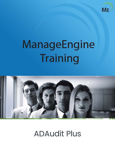

# ManageEngine Training



**ADAudit Plus**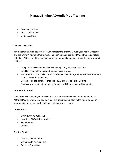# **ManageEngine ADAudit Plus Training**

- Course Objectives
- Who should attend
- Course Agenda

# **Course Objectives**

ADAudit Plus training helps your IT administrators to effectively audit your Active Directory and the entire Windows infrastructure. This training helps exploit ADAudit Plus to its fullest potential. At the end of the training you will be thoroughly equipped to use the software and achieve

- Complete visibility on administrative changes in your Active Directory
- Use filter based alerts to report on any critical events.
- Find answers to the vital 4W's who effected what change, when and from where on your Windows infrastructure.
- Get the complete history of changes on AD and Group Policy Objects.
- Organize your audit data to help in Security and Compliance auditing needs.

# **Who should attend**

If you are an IT Manager, IT Administrator or IT Auditor you can leverage the features of ADAudit Plus by undergoing this training. This training completely helps you to transform your auditing activities thereby helping in all compliance needs.

# **Introduction**

- Overview of ADAudit Plus
- How does ADAudit Plus work?
- Key Features
- Benefits

# **Getting Started**

- Installing ADAudit Plus
- Working with ADAudit Plus
- Basic configurations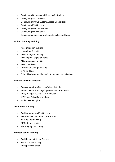- Configuring Domains and Domain Controllers
- Configuring Audit Policies
- Configuring SACLs(System Access Control Lists)
- Configuring File Servers
- Configuring Member Servers
- Configuring Workstations
- Configuring necessary privileges to collect audit data

# **Active Directory Auditing**

- Account Logon auditing
- Logon/Logoff auditing
- AD user object auditing
- AD computer object auditing
- AD group object auditing
- AD OU auditing
- Permission change auditing
- GPO auditing
- Other AD object auditing Containers/Contacts/DNS etc.,

# **Account Lockout Analyzer**

- Analyze Windows Services/Schedule tasks
- Network Drive Mappings/logon sessions/Process list
- Analyze logon activity DC and local
- OWA and ActiveSync analysis
- Radius server logins

# **File Server Auditing**

- Auditing Windows File Servers
- Windows failover server clusters audit
- NetApp Filer auditing
- EMC storage auditing
- File integrity monitoring

# **Member Server Auditing**

- Audit logon activity on Servers
- Track process activity
- Audit policy changes